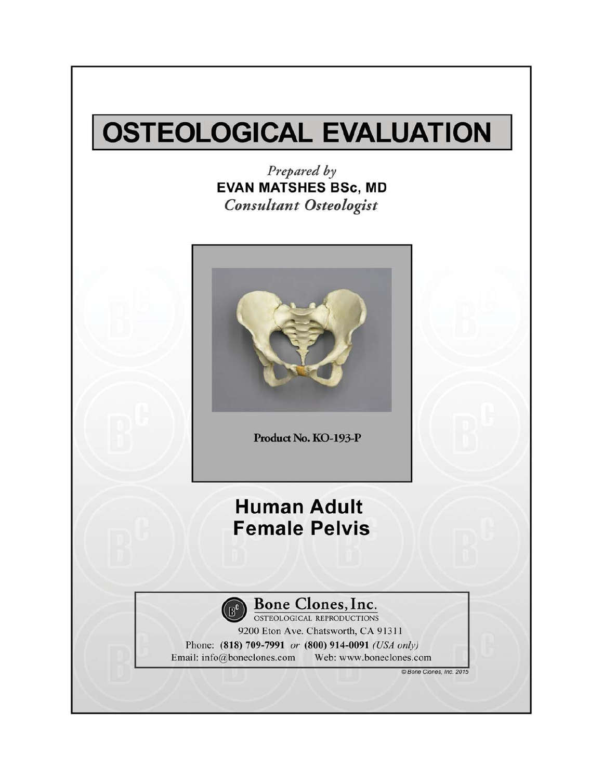# **OSTEOLOGICAL EVALUATION**

Prepared by **EVAN MATSHES BSc, MD Consultant Osteologist** 



Product No. KO-193-P

### **Human Adult Female Pelvis**



### **Bone Clones, Inc.**<br> **OSTEOLOGICAL REPRODUCTIONS**

9200 Eton Ave. Chatsworth, CA 91311 Phone: (818) 709-7991 or (800) 914-0091 (USA only) Email: info@boneclones.com Web: www.boneclones.com

© Bone Clones, Inc. 2015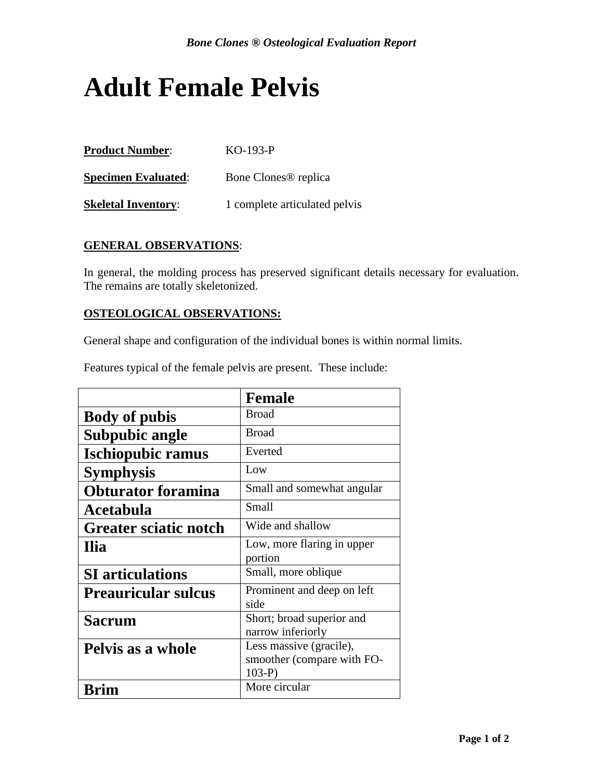## **Adult Female Pelvis**

| <b>Product Number:</b>     | $KO-193-P$                       |
|----------------------------|----------------------------------|
| <b>Specimen Evaluated:</b> | Bone Clones <sup>®</sup> replica |
| <b>Skeletal Inventory:</b> | 1 complete articulated pelvis    |

#### **GENERAL OBSERVATIONS**:

In general, the molding process has preserved significant details necessary for evaluation. The remains are totally skeletonized.

#### **OSTEOLOGICAL OBSERVATIONS:**

General shape and configuration of the individual bones is within normal limits.

|                              | <b>Female</b>              |
|------------------------------|----------------------------|
| <b>Body of pubis</b>         | <b>Broad</b>               |
| <b>Subpubic angle</b>        | <b>Broad</b>               |
| <b>Ischiopubic ramus</b>     | Everted                    |
| <b>Symphysis</b>             | Low                        |
| <b>Obturator foramina</b>    | Small and somewhat angular |
| Acetabula                    | <b>Small</b>               |
| <b>Greater sciatic notch</b> | Wide and shallow           |
| Ilia                         | Low, more flaring in upper |
|                              | portion                    |
| <b>SI</b> articulations      | Small, more oblique        |
| <b>Preauricular sulcus</b>   | Prominent and deep on left |
|                              | side                       |
| <b>Sacrum</b>                | Short; broad superior and  |
|                              | narrow inferiorly          |
| Pelvis as a whole            | Less massive (gracile),    |
|                              | smoother (compare with FO- |
|                              | $103-P$                    |
|                              | More circular              |

Features typical of the female pelvis are present. These include: